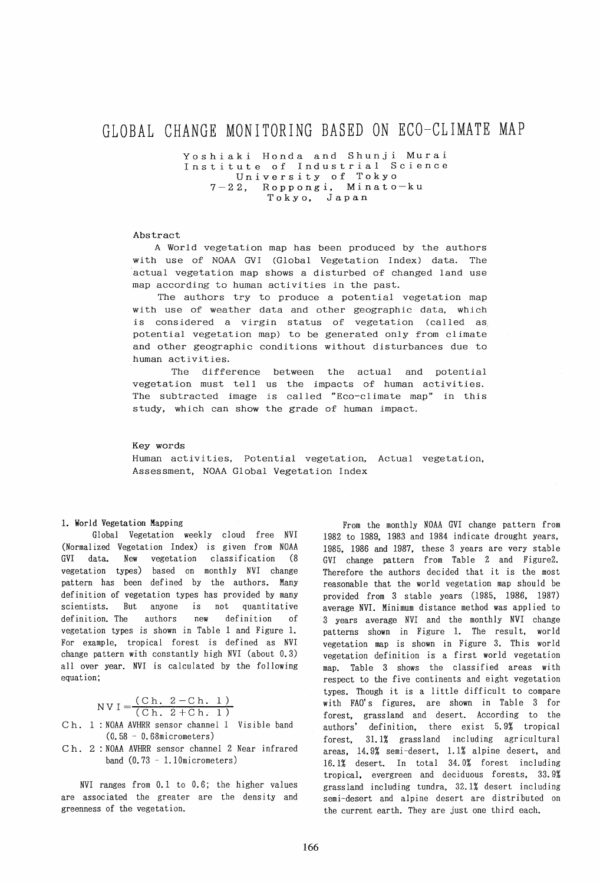# GLOBAL CHANGE MONITORING BASED ON ECO-CLIMATE MAP

Yoshiaki Honda and Shunji Murai Institute of Industrial Science University of Tokyo 7-22, Roppongi, Minato-ku Tokyo, Japan

### Abstract

A World vegetation map has been produced by the authors with use of NOAA GVI (Global Vegetation Index) data. The actual vegetation map shows a disturbed of changed land use map according to human activities in the past.

The authors try to produce a potential vegetation map with use of weather data and other geographic data, which is considered a virgin status of vegetation (called as, potential vegetation map) to be generated only from climate and other geographic conditions without disturbances due to human activities.

The difference between the actual and potential vegetation must tell us the impacts of human activities. The subtracted image is called "Eco-climate map" in this study, which can show the grade of human impact.

#### Key words

Human activities, Potential vegetation, Actual vegetation, Assessment, NOAA Global Vegetation Index

#### 1. World Vegetation Mapping

Global Vegetation weekly cloud free NVI (Normalized Vegetation Index) is given from NOAA GVI data. New vegetation classification (8 vegetation types) based on monthly NVI change pattern has been defined by the authors. Many definition of vegetation types has provided by many scientists. But anyone is not quantitative definition. The authors new definition of vegetation types is shown in Table 1 and Figure 1. For example, tropical forest is defined as NVI change pattern with constantly high NVI (about 0.3) all over year. NVI is calculated by the following equation;

 $NVI = \frac{(Ch. 2-Ch. 1)}{(Ch. 2+Ch. 1)}$ 

Ch. 1 : NOAA AVHRR sensor channel 1 Visible band (0.58 - 0.68micrometers)

C h. 2 : NOAA AVHRR sensor channel 2 Near infrared band  $(0.73 - 1.10$ micrometers)

NVI ranges from 0.1 to 0.6; the higher values are associated the greater are the density and greenness of the vegetation.

From the monthly NOAA GVI change pattern from 1982 to 1989, 1983 and 1984 indicate drought years, 1985, 1986 and 1987, these 3 years are very stable GVI change pattern from Table 2 and Figure2. Therefore the authors decided that it is the most reasonable that the world vegetation map should be provided from 3 stable years (1985, 1986, 1987) average NVI. Minimum distance method was applied to 3 years average NVI and the monthly NVI change patterns shown in Figure 1. The result, world vegetation map is shown in Figure 3. This world vegetation definition is a first world vegetation map. Table 3 shows the classified areas with respect to the five continents and eight vegetation types. Though it is a little difficult to compare with FAO's figures, are shown in Table 3 for forest, grassland and desert. According to the authors' definition, there exist 5.9% tropical forest, 31.1% grassland including agricultural areas, 14.9% semi -desert, 1.1% alpine desert, and 16.1% desert. In total 34.0% forest including tropical, evergreen and deciduous forests, 33.9% grass land including tundra, 32.1% desert including semi-desert and alpine desert are distributed on the current earth. They are just one third each.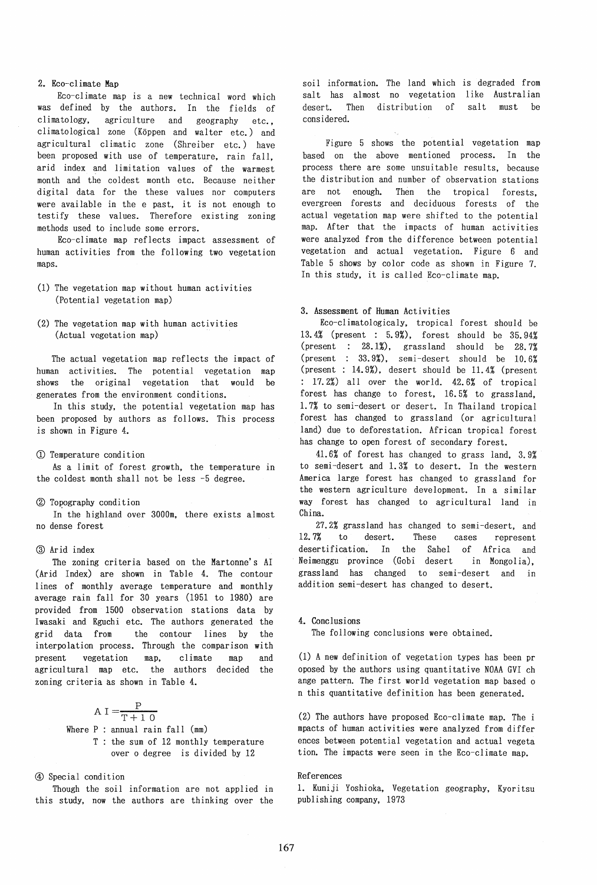# 2. Eco-climate Map

Eco-cl imate map is a new technical word which was defined by the authors. In the fields of climatology, agriculture and geography etc., climatological zone (Koppen and walter etc.) and agricultural climatic zone (Shreiber etc.) have been proposed with use of temperature, rain fall, arid index and limitation values of the warmest month and the coldest month etc. Because neither digital data for the these values nor computers were available in the e past, it is not enough to testify these values. Therefore existing zoning methods used to include some errors.

Eco-cl imate map reflects impact assessment of human activities from the following two vegetation maps.

- (1) The vegetation map without human activities (Potential vegetation map)
- (2) The vegetation map with human activities (Actual vegetation map)

The actual vegetation map reflects the impact of human activities. The potential vegetation map shows the original vegetation that would be generates from the environment conditions.

In this study, the potential vegetation map has been proposed by authors as follows. This process is shown in Figure 4.

#### CD Temperature condition

As a limit of forest growth, the temperature in the coldest month shall not be less -5 degree.

#### (2) Topography condition

In the highland over 3000m, there exists almost no dense forest

#### @ Arid index

The zoning criteria based on the Martonne's AI (Arid Index) are shown in Table 4. The contour lines of monthly average temperature and monthly average rain fall for 30 years (1951 to 1980) are provided from 1500 observation stations data by Iwasaki and Eguchi etc. The authors generated the grid data from the contour lines by the interpolation process. Through the comparison with present vegetation map. climate map and agricultural map etc. the authors decided the zoning criteria as shown in Table 4.

> $A I = \frac{P}{T}$ Where P : annual rain fall (mm) T the sum of 12 monthly temperature  $T+10$ over 0 degree is divided by 12

GD Special condition

Though the soil information are not applied in this study, now the authors are thinking over the soil information. The land which is degraded from salt has almost no vegetation like Australian desert. Then distribution of salt must be considered.

Figure 5 shows the potential vegetation map based on the above mentioned process. In the process there are some unsuitable results, because the distribution and number of observation stations are not enough. Then the tropical forests, evergreen forests and deciduous forests of the actual vegetation map were shifted to the potential map. After that the impacts of human activities were analyzed from the difference between potential vegetation and actual vegetation. Figure 6 and Table 5 shows by color code as shown in Figure 7. In this study, it is called Eco-climate map.

# 3. Assessment of Human Activities

Eco-cl imatologicaly, tropical forest should be 13.4% (present : 5.9%), forest should be 35.94% (present :  $28.1\%$ ), grassland should be  $28.7\%$ (present :  $33.9\%$ ), semi-desert should be  $10.6\%$ (present : 14.9%), desert should be 11. 4% (present : 17.2%) allover the world. 42.6% of tropical forest has change to forest, 16.5% to grassland, 1.7% to semi-desert or desert. In Thailand tropical forest has changed to grassland (or agricultural land) due to deforestation. African tropical forest has change to open forest of secondary forest.

41.6% of forest has changed to grass land, 3.9% to semi -desert and 1. 3% to desert. In the western America large forest has changed to grassland for the western agriculture development. In a similar way forest has changed to agricultural land in China.

27.2% grassland has changed to semi-desert, and 12. 7% to desert. These cases represent desertification. In the Sahel of Africa and Neimenggu province (Gobi desert in Mongolia), grass land has changed to semi -desert and in addition semi-desert has changed to desert.

#### 4. Conclusions

The following conclusions were obtained.

(1) A new definition of vegetation types has been pr oposed by the authors using quantitative NOAA GVI ch ange pattern. The first world vegetation map based o n this quantitative definition has been generated.

(2) The authors have proposed Eco-climate map. The i mpacts of human activities were analyzed from differ ences between potential vegetation and actual vegeta tion. The impacts were seen in the Eco-climate map.

# References

1. Kuniji Yoshioka, Vegetation geography, Kyoritsu publishing company, 1973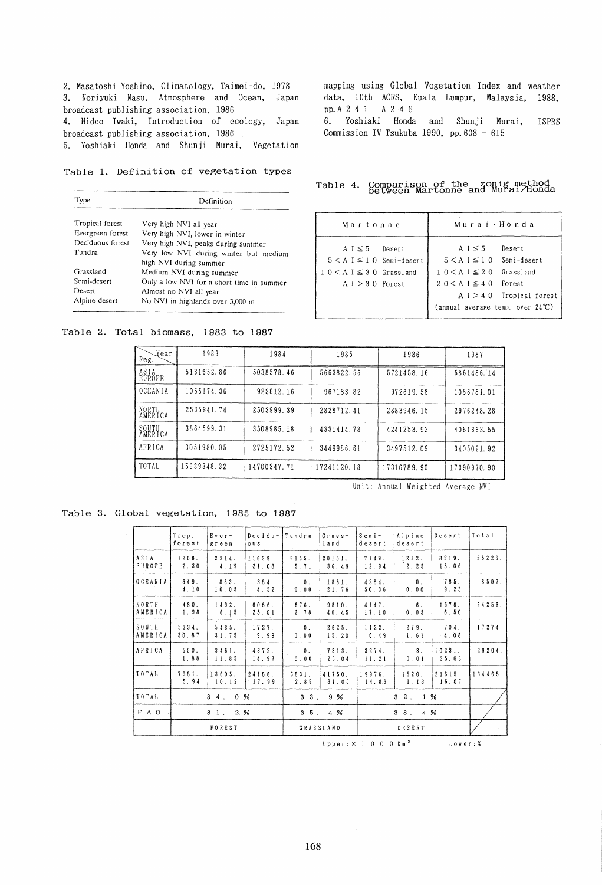2. Masatoshi Yoshino, Climatology, Taimei-do, 1978 3. Noriyuki Nasu, Atmosphere and Ocean, Japan broadcast publishing association, 1986 4. Hideo Iwaki, Introduction of ecology, Japan broadcast publishing association, 1986 5. Yoshiaki Honda and Shunji Murai, Vegetation

Table 1. Definition of vegetation types

| Type                                                     | Definition                            |  |  |  |
|----------------------------------------------------------|---------------------------------------|--|--|--|
| Tropical forest                                          | Very high NVI all year                |  |  |  |
|                                                          |                                       |  |  |  |
| Evergreen forest                                         | Very high NVI, lower in winter        |  |  |  |
| Deciduous forest                                         | Very high NVI, peaks during summer    |  |  |  |
| Tundra                                                   | Very low NVI during winter but medium |  |  |  |
|                                                          | high NVI during summer                |  |  |  |
| Grassland                                                | Medium NVI during summer              |  |  |  |
| Semi-desert<br>Only a low NVI for a short time in summer |                                       |  |  |  |
| Desert                                                   | Almost no NVI all year                |  |  |  |
| Alpine desert                                            | No NVI in highlands over 3,000 m      |  |  |  |

Table 2. Total biomass, 1983 to 1987

mapping using Global Vegetation Index and weather data, 10th ACRS, Kuala Lumpur, Malaysia, 1988, pp.A-2-4-1 - A-2-4-6 6. Yoshiaki Honda and Shunji Murai, ISPRS Commission IV Tsukuba 1990, pp.608 - 615

Table 4. Comparison of the zonig method between Martonne and Murai/Honda

| Martonne                                                                                                      | Murai · Honda                                                                                                                                                                                  |  |  |  |
|---------------------------------------------------------------------------------------------------------------|------------------------------------------------------------------------------------------------------------------------------------------------------------------------------------------------|--|--|--|
| $A I \leq 5$ Desert<br>$5 < A$ $I \leq 1$ 0 Semi-desert<br>$10 \leq A \leq 30$ Grassland<br>$A I > 30$ Porest | A $I \leq 5$<br>Desert<br>$5 < A I \le 10$ Semi-desert<br>$10 < A \leq 20$ Grassland<br>$20 \leq A \leq 40$ Forest<br>$A I > 40$ Tropical forest<br>(annual average temp. over $24^{\circ}$ C) |  |  |  |

| 1983        | 1984       | 1985        | 1986        | 1987        |
|-------------|------------|-------------|-------------|-------------|
| 5131652.86  | 5038578.46 | 5663822.56  | 5721458.16  | 5861486.14  |
| 1055174.36  | 923612.16  | 967183.82   | 972619.58   | 1086781.01  |
| 2535941.74  | 2503999.39 | 2828712.41  | 2883946.15  | 2976248.28  |
| 3864599.31  | 3508985.18 | 4331414.78  | 4241253.92  | 4061363.55  |
| 3051980.05  | 2725172.52 | 3449986.61  | 3497512.09  | 3405091.92  |
| 15639348.32 | 4700347.71 | 17241120.18 | 17316789.90 | 17390970.90 |
|             |            |             |             |             |

Unit: Annual Weighted Average NV!

Table 3. Global vegetation, 1985 to 1987

|                       | Trop.<br>forest  | $Ever -$<br>green | Decidu-<br>ous     | Tundra                 | $Grass -$<br>land | $S$ emi-<br>desert | Alpine<br>desert       | Desert          | Total   |
|-----------------------|------------------|-------------------|--------------------|------------------------|-------------------|--------------------|------------------------|-----------------|---------|
| ASIA<br><b>EUROPE</b> | 1268.<br>2:30    | 2314.<br>4.19     | 11639.<br>21.08    | 3155.<br>5.71          | 20151.<br>36.49   | 7149.<br>12.94     | 1232.<br>$2.23$        | 8319.<br>15.06  | 55226.  |
| O C E A N I A         | 349.<br>4.10     | 853.<br>10.03     | 384.<br>4.52       | $\mathbf{0}$ .<br>0.00 | 1851.<br>21.76    | 4284.<br>50.36     | $\mathbf{0}$ .<br>0.00 | 785.<br>9.23    | 8507.   |
| NORTH<br>AMERICA      | 480.<br>1,98     | 1492.<br>6.15     | 6066.<br>25.01     | 676.<br>2.78           | 9810.<br>40.45    | 4147.<br>17.10     | 6.<br>0.03             | 1576.<br>6.50   | 24253.  |
| SOUTH<br>AMERICA      | 5334.<br>30.87   | 5485.<br>31.75    | 1727.<br>9.99      | $\mathbf 0$ .<br>0.00  | 2625.<br>15.20    | 1122.<br>6.49      | 279.<br>1.61           | 704.<br>$-4.08$ | 17274.  |
| I A F R I C A         | 550.<br>1.88     | 3461.<br>11.85    | 4372.<br>14.97     | $\mathbf{0}$ .<br>0.00 | 7313.<br>25.04    | 3274.<br>11.21     | 3 <sub>1</sub><br>0.01 | 10231.<br>35.03 | 29204.  |
| TOTAL                 | 7981.<br>5.94    | 13605.<br>10.12   | 24188.<br>$-17.99$ | 3831.<br>2.85          | 41750.<br>31.05   | 19976.<br>14.86    | 1520.<br>1.13          | 21615.<br>16.07 | 134465. |
| TOTAL                 | 34.0%            |                   | $3 \t3 \t9 \t%$    |                        |                   | $3\quad2$ .<br>1 % |                        |                 |         |
| $F$ A O               | $3 \t1 \t2 \t96$ |                   | $3\,5.4\,$ %       |                        | $3 \t3 \t4 \t%$   |                    |                        |                 |         |
| $\sim$                |                  | FOREST            |                    |                        | GRASSLAND         |                    | DESERT                 |                 |         |

 $U$ pper: $\times$  1 0 0 0 Km<sup>2</sup> Lower: %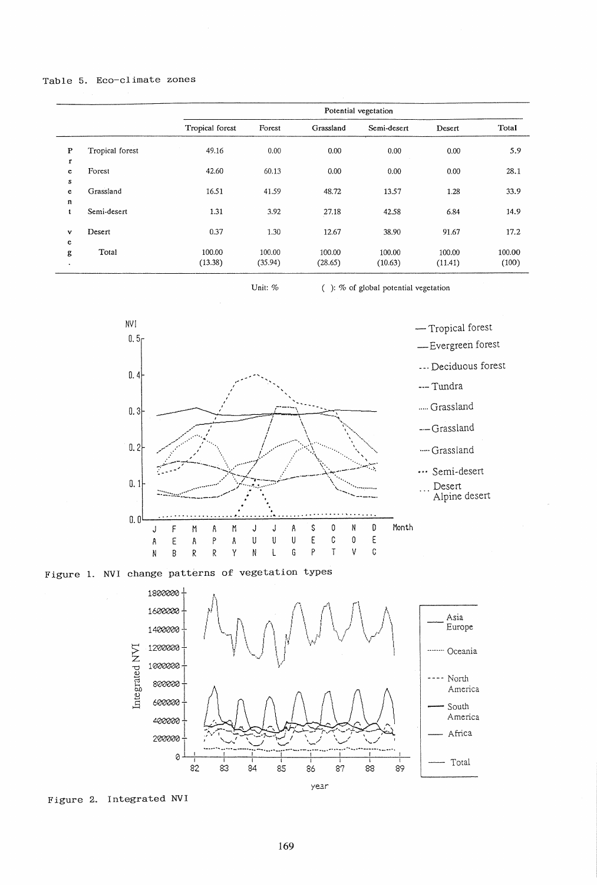# Table 5. Eco-climate zones

|              |                 | Potential vegetation |         |           |             |         |        |  |
|--------------|-----------------|----------------------|---------|-----------|-------------|---------|--------|--|
|              |                 | Tropical forest      | Forest  | Grassland | Semi-desert | Desert  | Total  |  |
| $\mathbf{P}$ | Tropical forest | 49.16                | 0.00    | 0.00      | 0.00        | 0.00    | 5.9    |  |
| $\mathbf r$  |                 |                      |         |           |             |         |        |  |
| e            | Forest          | 42.60                | 60.13   | 0.00      | 0.00        | 0.00    | 28.1   |  |
| $\bf S$      |                 |                      |         |           |             |         |        |  |
| e            | Grassland       | 16.51                | 41.59   | 48.72     | 13.57       | 1.28    | 33.9   |  |
| n            |                 |                      |         |           |             |         |        |  |
| t            | Semi-desert     | 1.31                 | 3.92    | 27.18     | 42.58       | 6.84    | 14.9   |  |
| v            | Desert          | 0.37                 | 1.30    | 12.67     | 38.90       | 91.67   | 17.2   |  |
| e            |                 |                      |         |           |             |         |        |  |
| g            | Total           | 100.00               | 100.00  | 100.00    | 100.00      | 100.00  | 100.00 |  |
| $\bullet$    |                 | (13.38)              | (35.94) | (28.65)   | (10.63)     | (11.41) | (100)  |  |

Unit:  $\%$ 

 $( )$ : % of global potential vegetation





Figure 2. Integrated NVI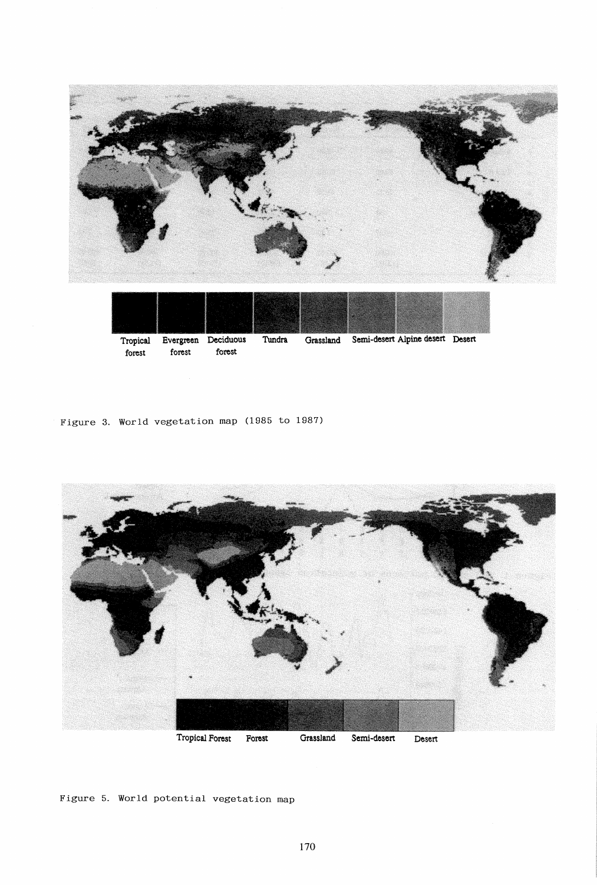



**forest forest forest** 

Figure 3. World vegetation map (1985 to 1987)



Figure 5. World potential vegetation map